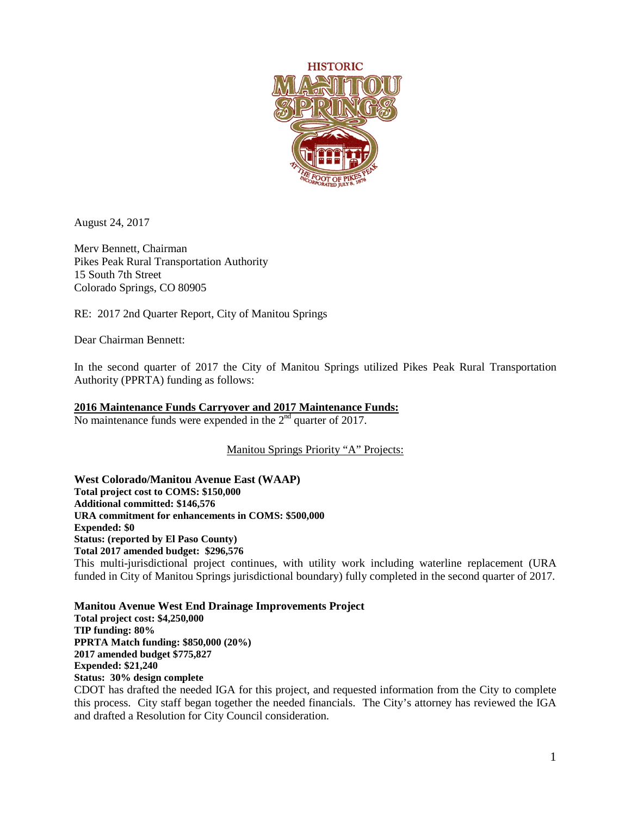

August 24, 2017

Merv Bennett, Chairman Pikes Peak Rural Transportation Authority 15 South 7th Street Colorado Springs, CO 80905

RE: 2017 2nd Quarter Report, City of Manitou Springs

Dear Chairman Bennett:

In the second quarter of 2017 the City of Manitou Springs utilized Pikes Peak Rural Transportation Authority (PPRTA) funding as follows:

## **2016 Maintenance Funds Carryover and 2017 Maintenance Funds:**

No maintenance funds were expended in the  $2<sup>nd</sup>$  quarter of 2017.

Manitou Springs Priority "A" Projects:

**West Colorado/Manitou Avenue East (WAAP) Total project cost to COMS: \$150,000 Additional committed: \$146,576 URA commitment for enhancements in COMS: \$500,000 Expended: \$0 Status: (reported by El Paso County) Total 2017 amended budget: \$296,576** This multi-jurisdictional project continues, with utility work including waterline replacement (URA funded in City of Manitou Springs jurisdictional boundary) fully completed in the second quarter of 2017.

**Manitou Avenue West End Drainage Improvements Project Total project cost: \$4,250,000 TIP funding: 80% PPRTA Match funding: \$850,000 (20%) 2017 amended budget \$775,827 Expended: \$21,240 Status: 30% design complete** CDOT has drafted the needed IGA for this project, and requested information from the City to complete

this process. City staff began together the needed financials. The City's attorney has reviewed the IGA and drafted a Resolution for City Council consideration.